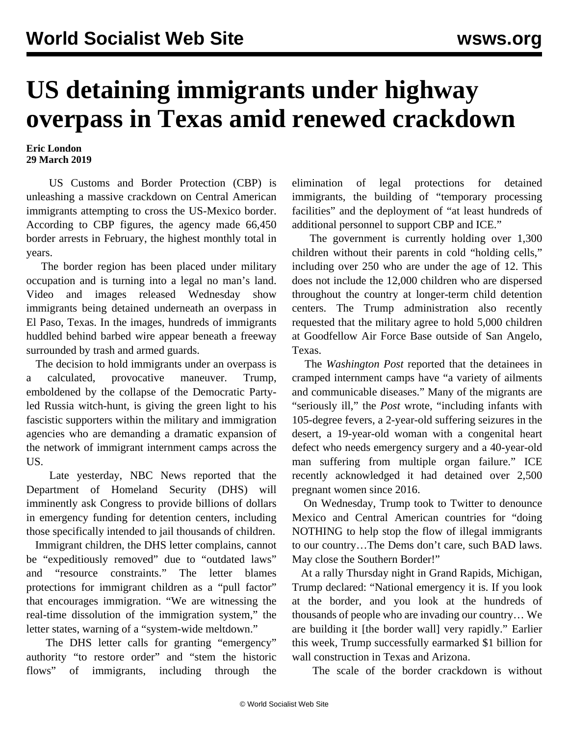## **US detaining immigrants under highway overpass in Texas amid renewed crackdown**

## **Eric London 29 March 2019**

 US Customs and Border Protection (CBP) is unleashing a massive crackdown on Central American immigrants attempting to cross the US-Mexico border. According to CBP figures, the agency made 66,450 border arrests in February, the highest monthly total in years.

 The border region has been placed under military occupation and is turning into a legal no man's land. Video and images released Wednesday show immigrants being detained underneath an overpass in El Paso, Texas. In the images, hundreds of immigrants huddled behind barbed wire appear beneath a freeway surrounded by trash and armed guards.

 The decision to hold immigrants under an overpass is a calculated, provocative maneuver. Trump, emboldened by the collapse of the Democratic Partyled Russia witch-hunt, is giving the green light to his fascistic supporters within the military and immigration agencies who are demanding a dramatic expansion of the network of immigrant internment camps across the US.

 Late yesterday, NBC News reported that the Department of Homeland Security (DHS) will imminently ask Congress to provide billions of dollars in emergency funding for detention centers, including those specifically intended to jail thousands of children.

 Immigrant children, the DHS letter complains, cannot be "expeditiously removed" due to "outdated laws" and "resource constraints." The letter blames protections for immigrant children as a "pull factor" that encourages immigration. "We are witnessing the real-time dissolution of the immigration system," the letter states, warning of a "system-wide meltdown."

 The DHS letter calls for granting "emergency" authority "to restore order" and "stem the historic flows" of immigrants, including through the elimination of legal protections for detained immigrants, the building of "temporary processing facilities" and the deployment of "at least hundreds of additional personnel to support CBP and ICE."

 The government is currently holding over 1,300 children without their parents in cold "holding cells," including over 250 who are under the age of 12. This does not include the 12,000 children who are dispersed throughout the country at longer-term child detention centers. The Trump administration also recently requested that the military agree to hold 5,000 children at Goodfellow Air Force Base outside of San Angelo, Texas.

 The *Washington Post* reported that the detainees in cramped internment camps have "a variety of ailments and communicable diseases." Many of the migrants are "seriously ill," the *Post* wrote, "including infants with 105-degree fevers, a 2-year-old suffering seizures in the desert, a 19-year-old woman with a congenital heart defect who needs emergency surgery and a 40-year-old man suffering from multiple organ failure." ICE recently acknowledged it had detained over 2,500 pregnant women since 2016.

 On Wednesday, Trump took to Twitter to denounce Mexico and Central American countries for "doing NOTHING to help stop the flow of illegal immigrants to our country…The Dems don't care, such BAD laws. May close the Southern Border!"

 At a rally Thursday night in Grand Rapids, Michigan, Trump declared: "National emergency it is. If you look at the border, and you look at the hundreds of thousands of people who are invading our country… We are building it [the border wall] very rapidly." Earlier this week, Trump successfully earmarked \$1 billion for wall construction in Texas and Arizona.

The scale of the border crackdown is without